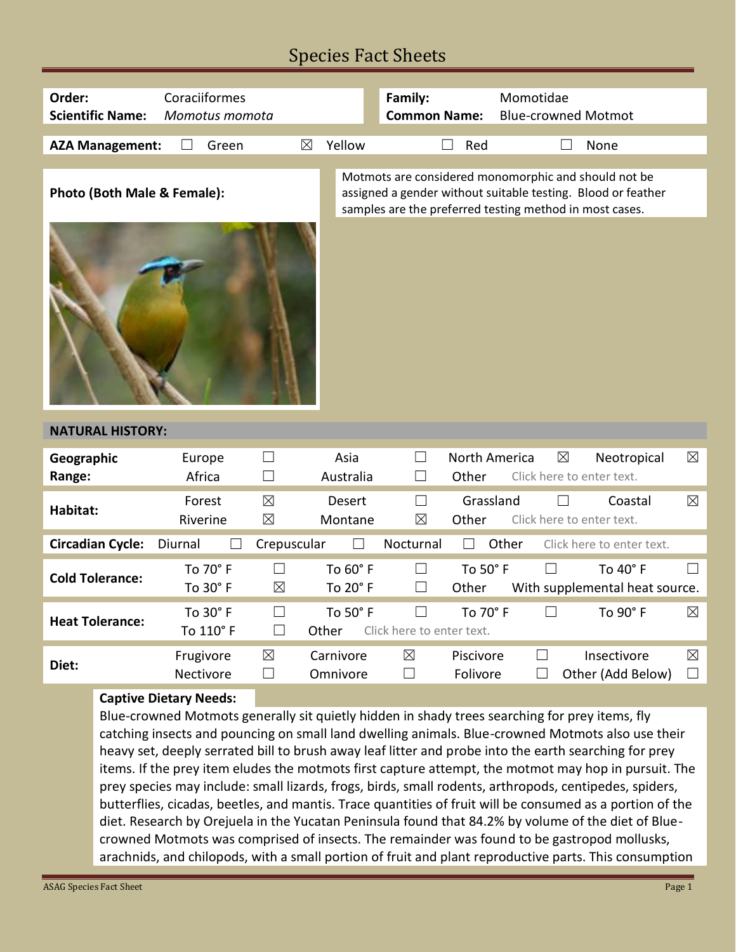### Species Fact Sheets

| Order:<br><b>Scientific Name:</b>                                                                                               | Coraciiformes<br>Momotus momota |                            |                       | Family:<br><b>Common Name:</b>      |                        | Momotidae<br><b>Blue-crowned Motmot</b>                                                                         |                                                              |                       |
|---------------------------------------------------------------------------------------------------------------------------------|---------------------------------|----------------------------|-----------------------|-------------------------------------|------------------------|-----------------------------------------------------------------------------------------------------------------|--------------------------------------------------------------|-----------------------|
| <b>AZA Management:</b>                                                                                                          | Green                           | $\boxtimes$                | Yellow                |                                     | Red                    |                                                                                                                 | None                                                         |                       |
| Photo (Both Male & Female):                                                                                                     |                                 |                            |                       |                                     |                        | Motmots are considered monomorphic and should not be<br>samples are the preferred testing method in most cases. | assigned a gender without suitable testing. Blood or feather |                       |
|                                                                                                                                 |                                 |                            |                       |                                     |                        |                                                                                                                 |                                                              |                       |
| <b>NATURAL HISTORY:</b>                                                                                                         |                                 |                            |                       |                                     |                        |                                                                                                                 |                                                              |                       |
| Geographic<br>Range:                                                                                                            | Europe<br>Africa                | $\Box$<br>$\sqcup$         | Asia<br>Australia     | $\vert \ \ \vert$                   | North America<br>Other | $\boxtimes$<br>Click here to enter text.                                                                        | Neotropical                                                  | $\boxtimes$           |
| Habitat:                                                                                                                        | Forest<br>Riverine              | $\boxtimes$<br>$\boxtimes$ | Desert<br>Montane     | $\Box$<br>$\boxtimes$               | Grassland<br>Other     | $\Box$<br>Click here to enter text.                                                                             | Coastal                                                      | $\boxtimes$           |
| <b>Circadian Cycle:</b>                                                                                                         | Diurnal                         | Crepuscular                |                       | Nocturnal                           |                        | Other                                                                                                           | Click here to enter text.                                    |                       |
| <b>Cold Tolerance:</b>                                                                                                          | To 70° F<br>To 30° F            | $\Box$<br>$\boxtimes$      | To 60° F<br>To 20° F  | $\Box$<br>$\Box$                    | To 50° F<br>Other      | П                                                                                                               | To 40° F<br>With supplemental heat source.                   |                       |
| <b>Heat Tolerance:</b>                                                                                                          | To 30° F<br>To 110° F           | $\Box$<br>$\Box$           | To 50° F<br>Other     | $\Box$<br>Click here to enter text. | To 70° F               | $\Box$                                                                                                          | To 90° F                                                     | $\boxtimes$           |
| Diet:                                                                                                                           | Frugivore<br>Nectivore          | ⊠<br>⊔                     | Carnivore<br>Omnivore | $\boxtimes$<br>$\Box$               | Piscivore<br>Folivore  | ப                                                                                                               | Insectivore<br>Other (Add Below)                             | $\boxtimes$<br>$\Box$ |
| <b>Captive Dietary Needs:</b><br>Blue-crowned Motmots generally sit quietly hidden in shady trees searching for prey items, fly |                                 |                            |                       |                                     |                        |                                                                                                                 |                                                              |                       |

letly hidden in shady trees searchi catching insects and pouncing on small land dwelling animals. Blue-crowned Motmots also use their heavy set, deeply serrated bill to brush away leaf litter and probe into the earth searching for prey items. If the prey item eludes the motmots first capture attempt, the motmot may hop in pursuit. The prey species may include: small lizards, frogs, birds, small rodents, arthropods, centipedes, spiders, butterflies, cicadas, beetles, and mantis. Trace quantities of fruit will be consumed as a portion of the diet. Research by Orejuela in the Yucatan Peninsula found that 84.2% by volume of the diet of Bluecrowned Motmots was comprised of insects. The remainder was found to be gastropod mollusks, arachnids, and chilopods, with a small portion of fruit and plant reproductive parts. This consumption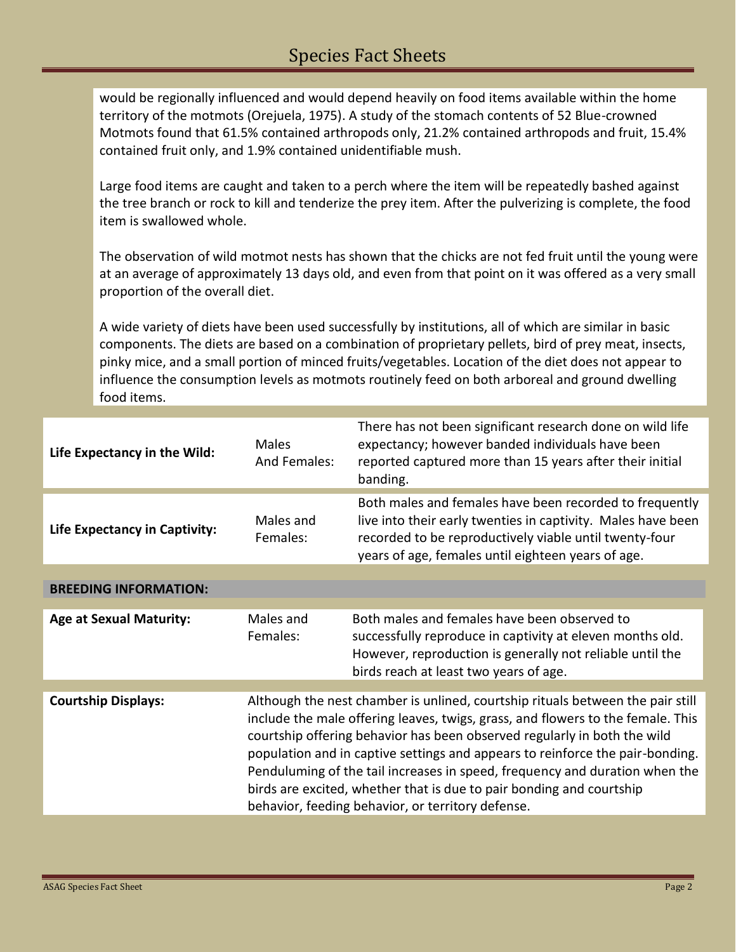would be regionally influenced and would depend heavily on food items available within the home territory of the motmots (Orejuela, 1975). A study of the stomach contents of 52 Blue-crowned Motmots found that 61.5% contained arthropods only, 21.2% contained arthropods and fruit, 15.4% contained fruit only, and 1.9% contained unidentifiable mush.

Large food items are caught and taken to a perch where the item will be repeatedly bashed against the tree branch or rock to kill and tenderize the prey item. After the pulverizing is complete, the food item is swallowed whole.

The observation of wild motmot nests has shown that the chicks are not fed fruit until the young were at an average of approximately 13 days old, and even from that point on it was offered as a very small proportion of the overall diet.

A wide variety of diets have been used successfully by institutions, all of which are similar in basic components. The diets are based on a combination of proprietary pellets, bird of prey meat, insects, pinky mice, and a small portion of minced fruits/vegetables. Location of the diet does not appear to influence the consumption levels as motmots routinely feed on both arboreal and ground dwelling food items.

| Life Expectancy in the Wild:   | Males<br>And Females:                                                                                                                                                                                                                                                                                                                                                                                                                                                                                                                      | There has not been significant research done on wild life<br>expectancy; however banded individuals have been<br>reported captured more than 15 years after their initial<br>banding.                                                   |  |
|--------------------------------|--------------------------------------------------------------------------------------------------------------------------------------------------------------------------------------------------------------------------------------------------------------------------------------------------------------------------------------------------------------------------------------------------------------------------------------------------------------------------------------------------------------------------------------------|-----------------------------------------------------------------------------------------------------------------------------------------------------------------------------------------------------------------------------------------|--|
| Life Expectancy in Captivity:  | Males and<br>Females:                                                                                                                                                                                                                                                                                                                                                                                                                                                                                                                      | Both males and females have been recorded to frequently<br>live into their early twenties in captivity. Males have been<br>recorded to be reproductively viable until twenty-four<br>years of age, females until eighteen years of age. |  |
|                                |                                                                                                                                                                                                                                                                                                                                                                                                                                                                                                                                            |                                                                                                                                                                                                                                         |  |
| <b>BREEDING INFORMATION:</b>   |                                                                                                                                                                                                                                                                                                                                                                                                                                                                                                                                            |                                                                                                                                                                                                                                         |  |
| <b>Age at Sexual Maturity:</b> | Males and<br>Females:                                                                                                                                                                                                                                                                                                                                                                                                                                                                                                                      | Both males and females have been observed to<br>successfully reproduce in captivity at eleven months old.<br>However, reproduction is generally not reliable until the<br>birds reach at least two years of age.                        |  |
| <b>Courtship Displays:</b>     | Although the nest chamber is unlined, courtship rituals between the pair still<br>include the male offering leaves, twigs, grass, and flowers to the female. This<br>courtship offering behavior has been observed regularly in both the wild<br>population and in captive settings and appears to reinforce the pair-bonding.<br>Penduluming of the tail increases in speed, frequency and duration when the<br>birds are excited, whether that is due to pair bonding and courtship<br>behavior, feeding behavior, or territory defense. |                                                                                                                                                                                                                                         |  |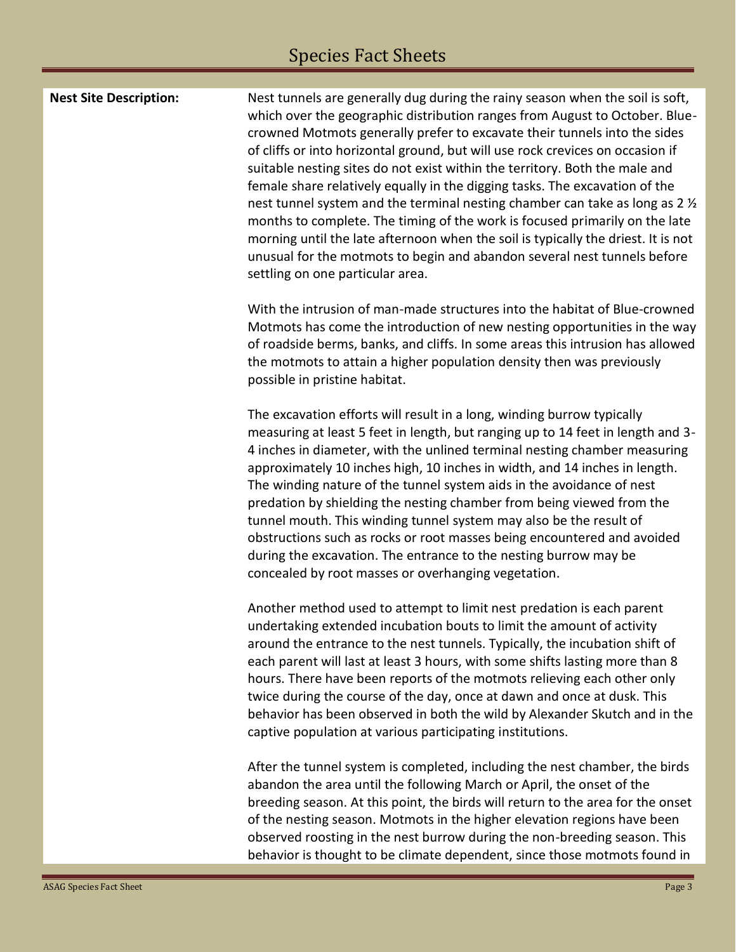## Species Fact Sheets

| <b>Nest Site Description:</b> | Nest tunnels are generally dug during the rainy season when the soil is soft,<br>which over the geographic distribution ranges from August to October. Blue-<br>crowned Motmots generally prefer to excavate their tunnels into the sides<br>of cliffs or into horizontal ground, but will use rock crevices on occasion if<br>suitable nesting sites do not exist within the territory. Both the male and<br>female share relatively equally in the digging tasks. The excavation of the<br>nest tunnel system and the terminal nesting chamber can take as long as 2 1/2<br>months to complete. The timing of the work is focused primarily on the late<br>morning until the late afternoon when the soil is typically the driest. It is not<br>unusual for the motmots to begin and abandon several nest tunnels before<br>settling on one particular area. |
|-------------------------------|----------------------------------------------------------------------------------------------------------------------------------------------------------------------------------------------------------------------------------------------------------------------------------------------------------------------------------------------------------------------------------------------------------------------------------------------------------------------------------------------------------------------------------------------------------------------------------------------------------------------------------------------------------------------------------------------------------------------------------------------------------------------------------------------------------------------------------------------------------------|
|                               | With the intrusion of man-made structures into the habitat of Blue-crowned<br>Motmots has come the introduction of new nesting opportunities in the way<br>of roadside berms, banks, and cliffs. In some areas this intrusion has allowed<br>the motmots to attain a higher population density then was previously<br>possible in pristine habitat.                                                                                                                                                                                                                                                                                                                                                                                                                                                                                                            |
|                               | The excavation efforts will result in a long, winding burrow typically<br>measuring at least 5 feet in length, but ranging up to 14 feet in length and 3-<br>4 inches in diameter, with the unlined terminal nesting chamber measuring<br>approximately 10 inches high, 10 inches in width, and 14 inches in length.<br>The winding nature of the tunnel system aids in the avoidance of nest<br>predation by shielding the nesting chamber from being viewed from the<br>tunnel mouth. This winding tunnel system may also be the result of<br>obstructions such as rocks or root masses being encountered and avoided<br>during the excavation. The entrance to the nesting burrow may be<br>concealed by root masses or overhanging vegetation.                                                                                                             |
|                               | Another method used to attempt to limit nest predation is each parent<br>undertaking extended incubation bouts to limit the amount of activity<br>around the entrance to the nest tunnels. Typically, the incubation shift of<br>each parent will last at least 3 hours, with some shifts lasting more than 8<br>hours. There have been reports of the motmots relieving each other only<br>twice during the course of the day, once at dawn and once at dusk. This<br>behavior has been observed in both the wild by Alexander Skutch and in the<br>captive population at various participating institutions.                                                                                                                                                                                                                                                 |
|                               | After the tunnel system is completed, including the nest chamber, the birds<br>abandon the area until the following March or April, the onset of the<br>breeding season. At this point, the birds will return to the area for the onset<br>of the nesting season. Motmots in the higher elevation regions have been<br>observed roosting in the nest burrow during the non-breeding season. This<br>behavior is thought to be climate dependent, since those motmots found in                                                                                                                                                                                                                                                                                                                                                                                  |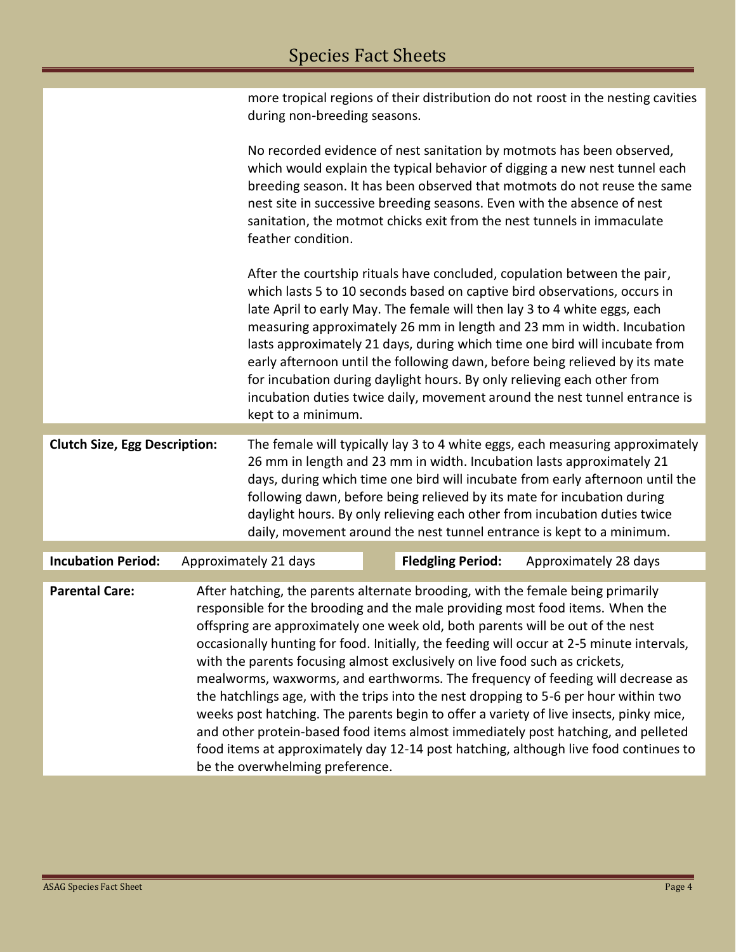|                                      |                                                                                                                                                                                                                                                                                                                                                                                                                                                                                                                                                                                                                                                                                                                                                                                                                                                                                                                    | during non-breeding seasons.                                                                                                                                                                                                                                                                                                                                                                                                                                                                                                                                                                                                                             |  |                          | more tropical regions of their distribution do not roost in the nesting cavities |  |  |
|--------------------------------------|--------------------------------------------------------------------------------------------------------------------------------------------------------------------------------------------------------------------------------------------------------------------------------------------------------------------------------------------------------------------------------------------------------------------------------------------------------------------------------------------------------------------------------------------------------------------------------------------------------------------------------------------------------------------------------------------------------------------------------------------------------------------------------------------------------------------------------------------------------------------------------------------------------------------|----------------------------------------------------------------------------------------------------------------------------------------------------------------------------------------------------------------------------------------------------------------------------------------------------------------------------------------------------------------------------------------------------------------------------------------------------------------------------------------------------------------------------------------------------------------------------------------------------------------------------------------------------------|--|--------------------------|----------------------------------------------------------------------------------|--|--|
|                                      |                                                                                                                                                                                                                                                                                                                                                                                                                                                                                                                                                                                                                                                                                                                                                                                                                                                                                                                    | No recorded evidence of nest sanitation by motmots has been observed,<br>which would explain the typical behavior of digging a new nest tunnel each<br>breeding season. It has been observed that motmots do not reuse the same<br>nest site in successive breeding seasons. Even with the absence of nest<br>sanitation, the motmot chicks exit from the nest tunnels in immaculate<br>feather condition.                                                                                                                                                                                                                                               |  |                          |                                                                                  |  |  |
|                                      |                                                                                                                                                                                                                                                                                                                                                                                                                                                                                                                                                                                                                                                                                                                                                                                                                                                                                                                    | After the courtship rituals have concluded, copulation between the pair,<br>which lasts 5 to 10 seconds based on captive bird observations, occurs in<br>late April to early May. The female will then lay 3 to 4 white eggs, each<br>measuring approximately 26 mm in length and 23 mm in width. Incubation<br>lasts approximately 21 days, during which time one bird will incubate from<br>early afternoon until the following dawn, before being relieved by its mate<br>for incubation during daylight hours. By only relieving each other from<br>incubation duties twice daily, movement around the nest tunnel entrance is<br>kept to a minimum. |  |                          |                                                                                  |  |  |
| <b>Clutch Size, Egg Description:</b> |                                                                                                                                                                                                                                                                                                                                                                                                                                                                                                                                                                                                                                                                                                                                                                                                                                                                                                                    | The female will typically lay 3 to 4 white eggs, each measuring approximately<br>26 mm in length and 23 mm in width. Incubation lasts approximately 21<br>days, during which time one bird will incubate from early afternoon until the<br>following dawn, before being relieved by its mate for incubation during<br>daylight hours. By only relieving each other from incubation duties twice<br>daily, movement around the nest tunnel entrance is kept to a minimum.                                                                                                                                                                                 |  |                          |                                                                                  |  |  |
| <b>Incubation Period:</b>            |                                                                                                                                                                                                                                                                                                                                                                                                                                                                                                                                                                                                                                                                                                                                                                                                                                                                                                                    | Approximately 21 days                                                                                                                                                                                                                                                                                                                                                                                                                                                                                                                                                                                                                                    |  | <b>Fledgling Period:</b> | Approximately 28 days                                                            |  |  |
| <b>Parental Care:</b>                | After hatching, the parents alternate brooding, with the female being primarily<br>responsible for the brooding and the male providing most food items. When the<br>offspring are approximately one week old, both parents will be out of the nest<br>occasionally hunting for food. Initially, the feeding will occur at 2-5 minute intervals,<br>with the parents focusing almost exclusively on live food such as crickets,<br>mealworms, waxworms, and earthworms. The frequency of feeding will decrease as<br>the hatchlings age, with the trips into the nest dropping to 5-6 per hour within two<br>weeks post hatching. The parents begin to offer a variety of live insects, pinky mice,<br>and other protein-based food items almost immediately post hatching, and pelleted<br>food items at approximately day 12-14 post hatching, although live food continues to<br>be the overwhelming preference. |                                                                                                                                                                                                                                                                                                                                                                                                                                                                                                                                                                                                                                                          |  |                          |                                                                                  |  |  |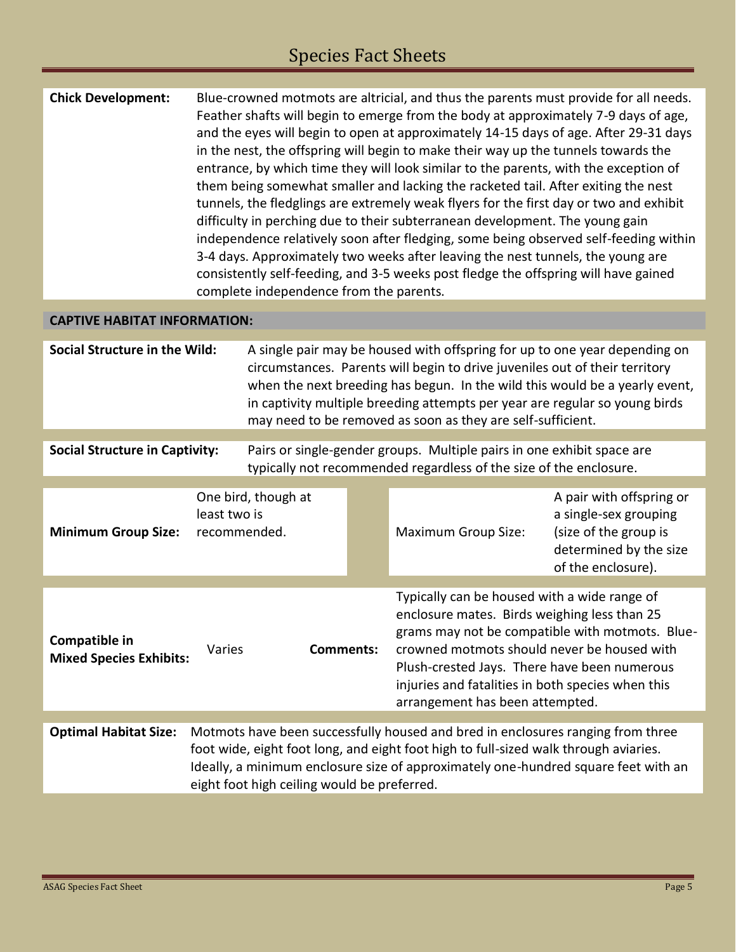# Species Fact Sheets

| <b>Chick Development:</b>                       |                            |                                                                                                                                                                                                                                                                                                                                                                                        |                                                                                                                                                                                                                                                                                                                                        | Blue-crowned motmots are altricial, and thus the parents must provide for all needs.<br>Feather shafts will begin to emerge from the body at approximately 7-9 days of age,<br>and the eyes will begin to open at approximately 14-15 days of age. After 29-31 days<br>in the nest, the offspring will begin to make their way up the tunnels towards the<br>entrance, by which time they will look similar to the parents, with the exception of<br>them being somewhat smaller and lacking the racketed tail. After exiting the nest<br>tunnels, the fledglings are extremely weak flyers for the first day or two and exhibit<br>difficulty in perching due to their subterranean development. The young gain<br>independence relatively soon after fledging, some being observed self-feeding within<br>3-4 days. Approximately two weeks after leaving the nest tunnels, the young are<br>consistently self-feeding, and 3-5 weeks post fledge the offspring will have gained |                                                                                                                            |  |
|-------------------------------------------------|----------------------------|----------------------------------------------------------------------------------------------------------------------------------------------------------------------------------------------------------------------------------------------------------------------------------------------------------------------------------------------------------------------------------------|----------------------------------------------------------------------------------------------------------------------------------------------------------------------------------------------------------------------------------------------------------------------------------------------------------------------------------------|------------------------------------------------------------------------------------------------------------------------------------------------------------------------------------------------------------------------------------------------------------------------------------------------------------------------------------------------------------------------------------------------------------------------------------------------------------------------------------------------------------------------------------------------------------------------------------------------------------------------------------------------------------------------------------------------------------------------------------------------------------------------------------------------------------------------------------------------------------------------------------------------------------------------------------------------------------------------------------|----------------------------------------------------------------------------------------------------------------------------|--|
|                                                 |                            | complete independence from the parents.                                                                                                                                                                                                                                                                                                                                                |                                                                                                                                                                                                                                                                                                                                        |                                                                                                                                                                                                                                                                                                                                                                                                                                                                                                                                                                                                                                                                                                                                                                                                                                                                                                                                                                                    |                                                                                                                            |  |
| <b>CAPTIVE HABITAT INFORMATION:</b>             |                            |                                                                                                                                                                                                                                                                                                                                                                                        |                                                                                                                                                                                                                                                                                                                                        |                                                                                                                                                                                                                                                                                                                                                                                                                                                                                                                                                                                                                                                                                                                                                                                                                                                                                                                                                                                    |                                                                                                                            |  |
| <b>Social Structure in the Wild:</b>            |                            | A single pair may be housed with offspring for up to one year depending on<br>circumstances. Parents will begin to drive juveniles out of their territory<br>when the next breeding has begun. In the wild this would be a yearly event,<br>in captivity multiple breeding attempts per year are regular so young birds<br>may need to be removed as soon as they are self-sufficient. |                                                                                                                                                                                                                                                                                                                                        |                                                                                                                                                                                                                                                                                                                                                                                                                                                                                                                                                                                                                                                                                                                                                                                                                                                                                                                                                                                    |                                                                                                                            |  |
|                                                 |                            |                                                                                                                                                                                                                                                                                                                                                                                        |                                                                                                                                                                                                                                                                                                                                        |                                                                                                                                                                                                                                                                                                                                                                                                                                                                                                                                                                                                                                                                                                                                                                                                                                                                                                                                                                                    |                                                                                                                            |  |
| <b>Social Structure in Captivity:</b>           |                            |                                                                                                                                                                                                                                                                                                                                                                                        |                                                                                                                                                                                                                                                                                                                                        | Pairs or single-gender groups. Multiple pairs in one exhibit space are<br>typically not recommended regardless of the size of the enclosure.                                                                                                                                                                                                                                                                                                                                                                                                                                                                                                                                                                                                                                                                                                                                                                                                                                       |                                                                                                                            |  |
| <b>Minimum Group Size:</b>                      | least two is               | One bird, though at<br>recommended.                                                                                                                                                                                                                                                                                                                                                    |                                                                                                                                                                                                                                                                                                                                        | <b>Maximum Group Size:</b>                                                                                                                                                                                                                                                                                                                                                                                                                                                                                                                                                                                                                                                                                                                                                                                                                                                                                                                                                         | A pair with offspring or<br>a single-sex grouping<br>(size of the group is<br>determined by the size<br>of the enclosure). |  |
|                                                 |                            |                                                                                                                                                                                                                                                                                                                                                                                        |                                                                                                                                                                                                                                                                                                                                        |                                                                                                                                                                                                                                                                                                                                                                                                                                                                                                                                                                                                                                                                                                                                                                                                                                                                                                                                                                                    |                                                                                                                            |  |
| Compatible in<br><b>Mixed Species Exhibits:</b> | <b>Comments:</b><br>Varies |                                                                                                                                                                                                                                                                                                                                                                                        | Typically can be housed with a wide range of<br>enclosure mates. Birds weighing less than 25<br>grams may not be compatible with motmots. Blue-<br>crowned motmots should never be housed with<br>Plush-crested Jays. There have been numerous<br>injuries and fatalities in both species when this<br>arrangement has been attempted. |                                                                                                                                                                                                                                                                                                                                                                                                                                                                                                                                                                                                                                                                                                                                                                                                                                                                                                                                                                                    |                                                                                                                            |  |
| <b>Optimal Habitat Size:</b>                    |                            |                                                                                                                                                                                                                                                                                                                                                                                        |                                                                                                                                                                                                                                                                                                                                        | Motmots have been successfully housed and bred in enclosures ranging from three                                                                                                                                                                                                                                                                                                                                                                                                                                                                                                                                                                                                                                                                                                                                                                                                                                                                                                    |                                                                                                                            |  |
|                                                 |                            | eight foot high ceiling would be preferred.                                                                                                                                                                                                                                                                                                                                            |                                                                                                                                                                                                                                                                                                                                        | foot wide, eight foot long, and eight foot high to full-sized walk through aviaries.<br>Ideally, a minimum enclosure size of approximately one-hundred square feet with an                                                                                                                                                                                                                                                                                                                                                                                                                                                                                                                                                                                                                                                                                                                                                                                                         |                                                                                                                            |  |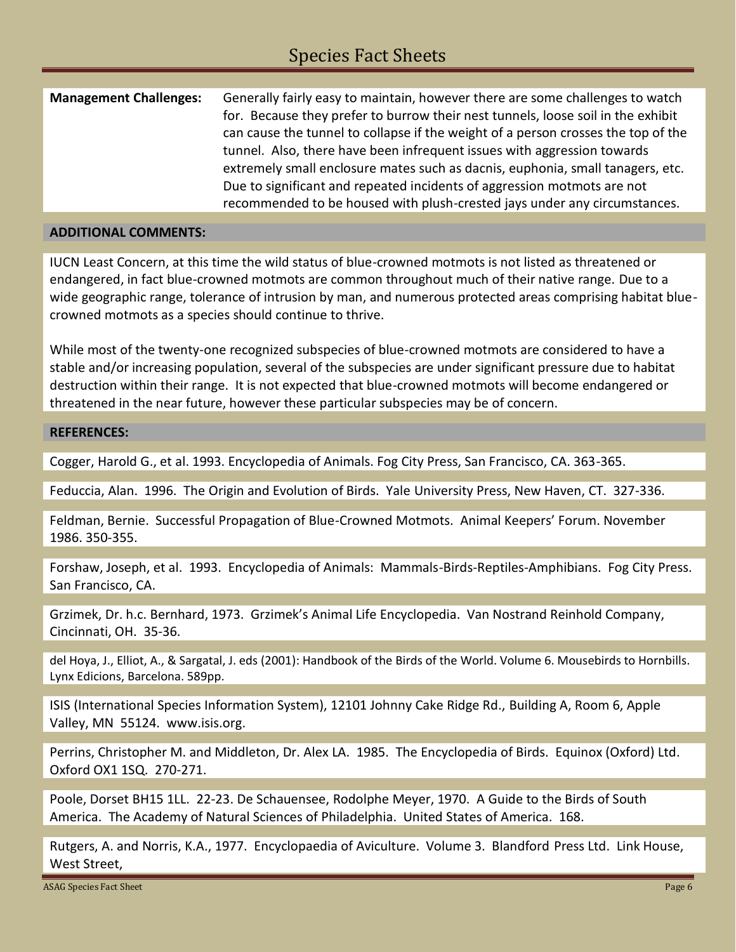| <b>Management Challenges:</b> | Generally fairly easy to maintain, however there are some challenges to watch<br>for. Because they prefer to burrow their nest tunnels, loose soil in the exhibit<br>can cause the tunnel to collapse if the weight of a person crosses the top of the<br>tunnel. Also, there have been infrequent issues with aggression towards<br>extremely small enclosure mates such as dacnis, euphonia, small tanagers, etc.<br>Due to significant and repeated incidents of aggression motmots are not |
|-------------------------------|------------------------------------------------------------------------------------------------------------------------------------------------------------------------------------------------------------------------------------------------------------------------------------------------------------------------------------------------------------------------------------------------------------------------------------------------------------------------------------------------|
|                               | recommended to be housed with plush-crested jays under any circumstances.                                                                                                                                                                                                                                                                                                                                                                                                                      |

#### **ADDITIONAL COMMENTS:**

IUCN Least Concern, at this time the wild status of blue-crowned motmots is not listed as threatened or endangered, in fact blue-crowned motmots are common throughout much of their native range. Due to a wide geographic range, tolerance of intrusion by man, and numerous protected areas comprising habitat bluecrowned motmots as a species should continue to thrive.

While most of the twenty-one recognized subspecies of blue-crowned motmots are considered to have a stable and/or increasing population, several of the subspecies are under significant pressure due to habitat destruction within their range. It is not expected that blue-crowned motmots will become endangered or threatened in the near future, however these particular subspecies may be of concern.

#### **REFERENCES:**

Cogger, Harold G., et al. 1993. Encyclopedia of Animals. Fog City Press, San Francisco, CA. 363-365.

Feduccia, Alan. 1996. The Origin and Evolution of Birds. Yale University Press, New Haven, CT. 327-336.

Feldman, Bernie. Successful Propagation of Blue-Crowned Motmots. Animal Keepers' Forum. November 1986. 350-355.

Forshaw, Joseph, et al. 1993. Encyclopedia of Animals: Mammals-Birds-Reptiles-Amphibians. Fog City Press. San Francisco, CA.

Grzimek, Dr. h.c. Bernhard, 1973. Grzimek's Animal Life Encyclopedia. Van Nostrand Reinhold Company, Cincinnati, OH. 35-36.

del Hoya, J., Elliot, A., & Sargatal, J. eds (2001): Handbook of the Birds of the World. Volume 6. Mousebirds to Hornbills. Lynx Edicions, Barcelona. 589pp.

ISIS (International Species Information System), 12101 Johnny Cake Ridge Rd., Building A, Room 6, Apple Valley, MN 55124. www.isis.org.

Perrins, Christopher M. and Middleton, Dr. Alex LA. 1985. The Encyclopedia of Birds. Equinox (Oxford) Ltd. Oxford OX1 1SQ. 270-271.

Poole, Dorset BH15 1LL. 22-23. De Schauensee, Rodolphe Meyer, 1970. A Guide to the Birds of South America. The Academy of Natural Sciences of Philadelphia. United States of America. 168.

Rutgers, A. and Norris, K.A., 1977. Encyclopaedia of Aviculture. Volume 3. Blandford Press Ltd. Link House, West Street,